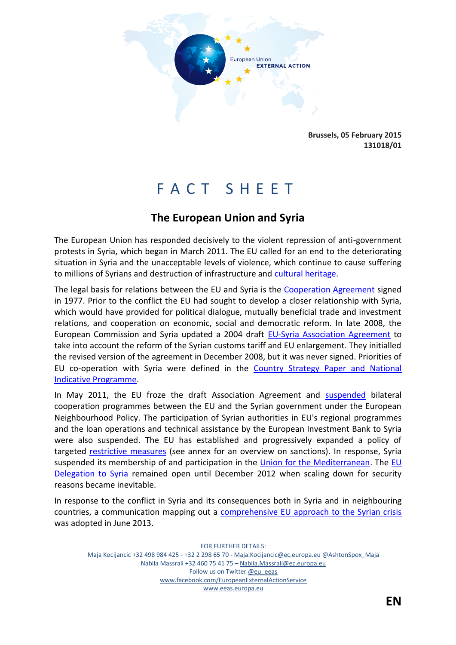

**Brussels, 05 February 2015 131018/01**

# F A C T S H E E T

# **The European Union and Syria**

The European Union has responded decisively to the violent repression of anti-government protests in Syria, which began in March 2011. The EU called for an end to the deteriorating situation in Syria and the unacceptable levels of violence, which continue to cause suffering to millions of Syrians and destruction of infrastructure and [cultural heritage.](http://whc.unesco.org/en/news/1206)

The legal basis for relations between the EU and Syria is the [Cooperation Agreement](http://eeas.europa.eu/delegations/syria/eu_syria/political_relations/agreements/index_en.htm) signed in 1977. Prior to the conflict the EU had sought to develop a closer relationship with Syria, which would have provided for political dialogue, mutually beneficial trade and investment relations, and cooperation on economic, social and democratic reform. In late 2008, the European Commission and Syria updated a 2004 draft [EU-Syria Association Agreement](http://eeas.europa.eu/delegations/syria/eu_syria/political_relations/agreements/index_en.htm) to take into account the reform of the Syrian customs tariff and EU enlargement. They initialled the revised version of the agreement in December 2008, but it was never signed. Priorities of EU co-operation with Syria were defined in the [Country Strategy Paper and National](http://www.enpi-info.eu/library/content/syria-country-strategy-paper-2007-2013-and-national-indicative-programme-2007-2010)  [Indicative Programme.](http://www.enpi-info.eu/library/content/syria-country-strategy-paper-2007-2013-and-national-indicative-programme-2007-2010)

In May 2011, the EU froze the draft Association Agreement and [suspended](http://www.consilium.europa.eu/uedocs/cms_data/docs/pressdata/EN/foraff/122168.pdf) bilateral cooperation programmes between the EU and the Syrian government under the European Neighbourhood Policy. The participation of Syrian authorities in EU's regional programmes and the loan operations and technical assistance by the European Investment Bank to Syria were also suspended. The EU has established and progressively expanded a policy of targeted [restrictive measures](http://eeas.europa.eu/cfsp/sanctions/docs/measures_en.pdf) (see annex for an overview on sanctions). In response, Syria suspended its membership of and participation in the [Union for the Mediterranean.](http://eeas.europa.eu/euromed/index_en.htm) The EU [Delegation to Syria](http://eeas.europa.eu/delegations/syria/index_en.htm) remained open until December 2012 when scaling down for security reasons became inevitable.

In response to the conflict in Syria and its consequences both in Syria and in neighbouring countries, a communication mapping out a [comprehensive EU approach](http://eeas.europa.eu/statements/docs/2013/130624_1_comm_native_join_2013_22_communication_from_commission_to_inst_en_v10_p1_7332751.pdf) to the Syrian crisis was adopted in June 2013.

FOR FURTHER DETAILS: Maja Kocijancic +32 498 984 425 - +32 2 298 65 70 - [Maja.Kocijancic@ec.europa.eu](../AppData/Local/Microsoft/Windows/Temporary%20Internet%20Files/costeiu/AppData/Local/Microsoft/Windows/salvabe/AppData/Local/Microsoft/Windows/lievrde/AppData/Local/Microsoft/Windows/Temporary%20Internet%20Files/Content.Outlook/B3E41T5W/Maja.Kocijancic@ec.europa.eu) [@AshtonSpox\\_Maja](https://twitter.com/AshtonSpox_Maja) Nabila Massrali +32 460 75 41 75 – [Nabila.Massrali@ec.europa.eu](mailto:Nabila.Massrali@ec.europa.eu) Follow us on Twitter [@eu\\_eeas](https://twitter.com/eu_eeas) [www.facebook.com/EuropeanExternalActionService](http://www.facebook.com/EuropeanExternalActionService) [www.eeas.europa.eu](../AppData/Local/Microsoft/Windows/Temporary%20Internet%20Files/costeiu/AppData/Local/Microsoft/Windows/salvabe/AppData/Local/Microsoft/Windows/lievrde/AppData/Local/Microsoft/Windows/Temporary%20Internet%20Files/Content.Outlook/B3E41T5W/www.eeas.europa.eu)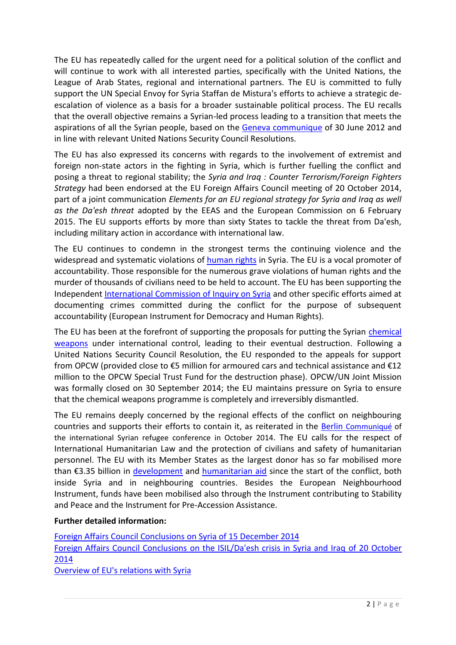The EU has repeatedly called for the urgent need for a political solution of the conflict and will continue to work with all interested parties, specifically with the United Nations, the League of Arab States, regional and international partners. The EU is committed to fully support the UN Special Envoy for Syria Staffan de Mistura's efforts to achieve a strategic deescalation of violence as a basis for a broader sustainable political process. The EU recalls that the overall objective remains a Syrian-led process leading to a transition that meets the aspirations of all the Syrian people, based on the [Geneva communique](http://www.un.org/News/dh/infocus/Syria/FinalCommuniqueActionGroupforSyria.pdf) of 30 June 2012 and in line with relevant United Nations Security Council Resolutions.

The EU has also expressed its concerns with regards to the involvement of extremist and foreign non-state actors in the fighting in Syria, which is further fuelling the conflict and posing a threat to regional stability; the *Syria and Iraq : Counter Terrorism/Foreign Fighters Strategy* had been endorsed at the EU Foreign Affairs Council meeting of 20 October 2014, part of a joint communication *Elements for an EU regional strategy for Syria and Iraq as well as the Da'esh threat* adopted by the EEAS and the European Commission on 6 February 2015. The EU supports efforts by more than sixty States to tackle the threat from Da'esh, including military action in accordance with international law.

The EU continues to condemn in the strongest terms the continuing violence and the widespread and systematic violations of [human rights](http://eeas.europa.eu/human_rights/index_en.htm) in Syria. The EU is a vocal promoter of accountability. Those responsible for the numerous grave violations of human rights and the murder of thousands of civilians need to be held to account. The EU has been supporting the Independent [International Commission of Inquiry on Syria](http://www.ohchr.org/EN/HRBodies/HRC/IICISyria/Pages/IndependentInternationalCommission.aspx) and other specific efforts aimed at documenting crimes committed during the conflict for the purpose of subsequent accountability (European Instrument for Democracy and Human Rights).

The EU has been at the forefront of supporting the proposals for putting the Syrian [chemical](http://eeas.europa.eu/statements/docs/2014/140623_02_en.pdf)  [weapons](http://eeas.europa.eu/statements/docs/2014/140623_02_en.pdf) under international control, leading to their eventual destruction. Following a United Nations Security Council Resolution, the EU responded to the appeals for support from OPCW (provided close to €5 million for armoured cars and technical assistance and €12 million to the OPCW Special Trust Fund for the destruction phase). OPCW/UN Joint Mission was formally closed on 30 September 2014; the EU maintains pressure on Syria to ensure that the chemical weapons programme is completely and irreversibly dismantled.

The EU remains deeply concerned by the regional effects of the conflict on neighbouring countries and supports their efforts to contain it, as reiterated in the Berlin [Communiqué](http://www.auswaertiges-amt.de/EN/Infoservice/Presse/Meldungen/2014/141028-Berliner_Erklaerung.html) of the international Syrian refugee conference in October 2014. The EU calls for the respect of International Humanitarian Law and the protection of civilians and safety of humanitarian personnel. The EU with its Member States as the largest donor has so far mobilised more than €3.35 billion in [development](http://ec.europa.eu/europeaid/node/451) and [humanitarian](http://ec.europa.eu/echo/en/where/middle-east-north-africa/syria) aid since the start of the conflict, both inside Syria and in neighbouring countries. Besides the European Neighbourhood Instrument, funds have been mobilised also through the Instrument contributing to Stability and Peace and the Instrument for Pre-Accession Assistance.

## **Further detailed information:**

[Foreign Affairs Council Conclusions](http://www.consilium.europa.eu/uedocs/cms_data/docs/pressdata/EN/foraff/146257.pdf) on Syria of 15 December 2014 [Foreign Affairs Council Conclusions on the ISIL/Da'esh crisis in Syria and Iraq of 20 October](http://www.consilium.europa.eu/uedocs/cms_data/docs/pressdata/EN/foraff/145203.pdf)  [2014](http://www.consilium.europa.eu/uedocs/cms_data/docs/pressdata/EN/foraff/145203.pdf) [Overview of EU's relations with Syria](http://eeas.europa.eu/syria/)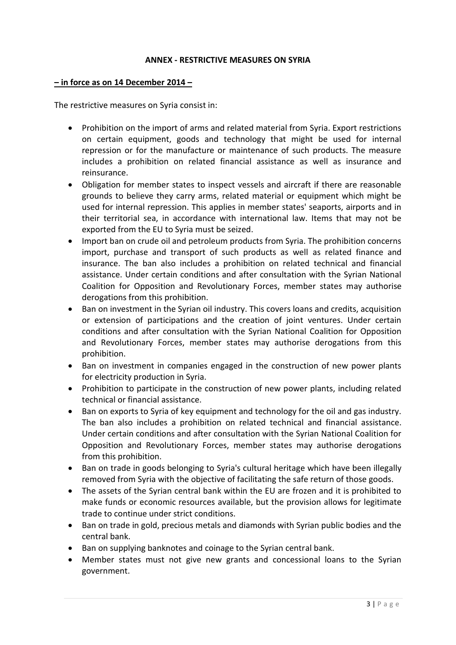### **ANNEX - RESTRICTIVE MEASURES ON SYRIA**

#### **– in force as on 14 December 2014 –**

The restrictive measures on Syria consist in:

- Prohibition on the import of arms and related material from Syria. Export restrictions on certain equipment, goods and technology that might be used for internal repression or for the manufacture or maintenance of such products. The measure includes a prohibition on related financial assistance as well as insurance and reinsurance.
- Obligation for member states to inspect vessels and aircraft if there are reasonable grounds to believe they carry arms, related material or equipment which might be used for internal repression. This applies in member states' seaports, airports and in their territorial sea, in accordance with international law. Items that may not be exported from the EU to Syria must be seized.
- Import ban on crude oil and petroleum products from Syria. The prohibition concerns import, purchase and transport of such products as well as related finance and insurance. The ban also includes a prohibition on related technical and financial assistance. Under certain conditions and after consultation with the Syrian National Coalition for Opposition and Revolutionary Forces, member states may authorise derogations from this prohibition.
- Ban on investment in the Syrian oil industry. This covers loans and credits, acquisition or extension of participations and the creation of joint ventures. Under certain conditions and after consultation with the Syrian National Coalition for Opposition and Revolutionary Forces, member states may authorise derogations from this prohibition.
- Ban on investment in companies engaged in the construction of new power plants for electricity production in Syria.
- Prohibition to participate in the construction of new power plants, including related technical or financial assistance.
- Ban on exports to Syria of key equipment and technology for the oil and gas industry. The ban also includes a prohibition on related technical and financial assistance. Under certain conditions and after consultation with the Syrian National Coalition for Opposition and Revolutionary Forces, member states may authorise derogations from this prohibition.
- Ban on trade in goods belonging to Syria's cultural heritage which have been illegally removed from Syria with the objective of facilitating the safe return of those goods.
- The assets of the Syrian central bank within the EU are frozen and it is prohibited to make funds or economic resources available, but the provision allows for legitimate trade to continue under strict conditions.
- Ban on trade in gold, precious metals and diamonds with Syrian public bodies and the central bank.
- Ban on supplying banknotes and coinage to the Syrian central bank.
- Member states must not give new grants and concessional loans to the Syrian government.